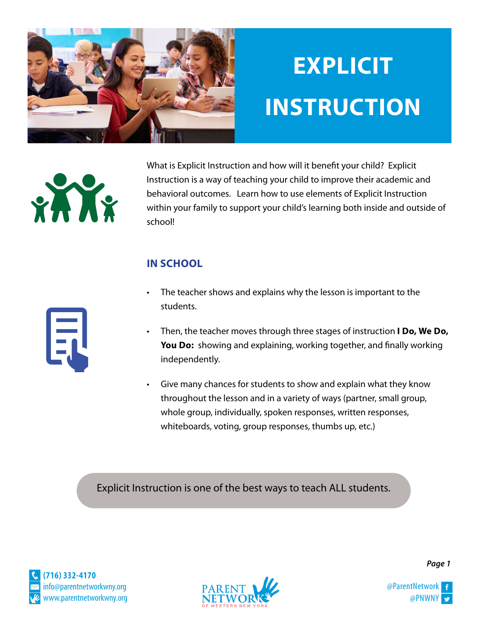

## **EXPLICIT INSTRUCTION**



E

What is Explicit Instruction and how will it beneft your child? Explicit Instruction is a way of teaching your child to improve their academic and behavioral outcomes. Learn how to use elements of Explicit Instruction within your family to support your child's learning both inside and outside of school!

## **IN SCHOOL**

- The teacher shows and explains why the lesson is important to the students.
- Then, the teacher moves through three stages of instruction **I Do, We Do, You Do:** showing and explaining, working together, and fnally working independently.
- Give many chances for students to show and explain what they know throughout the lesson and in a variety of ways (partner, small group, whole group, individually, spoken responses, written responses, whiteboards, voting, group responses, thumbs up, etc.)

Explicit Instruction is one of the best ways to teach ALL students.





*Page 1*